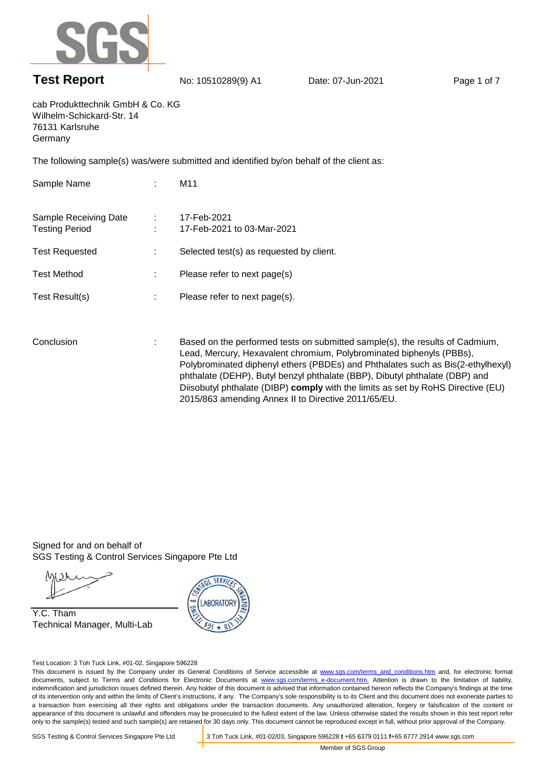

## **Test Report** No: 10510289(9) A1 Date: 07-Jun-2021 Page 1 of 7

cab Produkttechnik GmbH & Co. KG Wilhelm-Schickard-Str. 14 76131 Karlsruhe Germany

The following sample(s) was/were submitted and identified by/on behalf of the client as:

| Sample Name                                    | ÷      | M11                                                                                                                                                                                                                                                                                                                                                                                                                                                               |
|------------------------------------------------|--------|-------------------------------------------------------------------------------------------------------------------------------------------------------------------------------------------------------------------------------------------------------------------------------------------------------------------------------------------------------------------------------------------------------------------------------------------------------------------|
| Sample Receiving Date<br><b>Testing Period</b> | 100000 | 17-Feb-2021<br>17-Feb-2021 to 03-Mar-2021                                                                                                                                                                                                                                                                                                                                                                                                                         |
| <b>Test Requested</b>                          | ÷      | Selected test(s) as requested by client.                                                                                                                                                                                                                                                                                                                                                                                                                          |
| <b>Test Method</b>                             | ÷      | Please refer to next page(s)                                                                                                                                                                                                                                                                                                                                                                                                                                      |
| Test Result(s)                                 | ÷      | Please refer to next page(s).                                                                                                                                                                                                                                                                                                                                                                                                                                     |
| Conclusion                                     | ÷      | Based on the performed tests on submitted sample(s), the results of Cadmium,<br>Lead, Mercury, Hexavalent chromium, Polybrominated biphenyls (PBBs),<br>Polybrominated diphenyl ethers (PBDEs) and Phthalates such as Bis(2-ethylhexyl)<br>phthalate (DEHP), Butyl benzyl phthalate (BBP), Dibutyl phthalate (DBP) and<br>Diisobutyl phthalate (DIBP) comply with the limits as set by RoHS Directive (EU)<br>2015/863 amending Annex II to Directive 2011/65/EU. |

Signed for and on behalf of SGS Testing & Control Services Singapore Pte Ltd

Y.C. Tham Technical Manager, Multi-Lab



Test Location: 3 Toh Tuck Link, #01-02, Singapore 596228

This document is issued by the Company under its General Conditions of Service accessible at www.sgs.com/terms\_and\_conditions.htm and, for electronic format documents, subject to Terms and Conditions for Electronic Documents at www.sgs.com/terms\_e-document.htm. Attention is drawn to the limitation of liability, indemnification and jurisdiction issues defined therein. Any holder of this document is advised that information contained hereon reflects the Company's findings at the time of its intervention only and within the limits of Client's instructions, if any. The Company's sole responsibility is to its Client and this document does not exonerate parties to a transaction from exercising all their rights and obligations under the transaction documents. Any unauthorized alteration, forgery or falsification of the content or appearance of this document is unlawful and offenders may be prosecuted to the fullest extent of the law. Unless otherwise stated the results shown in this test report refer only to the sample(s) tested and such sample(s) are retained for 30 days only. This document cannot be reproduced except in full, without prior approval of the Company.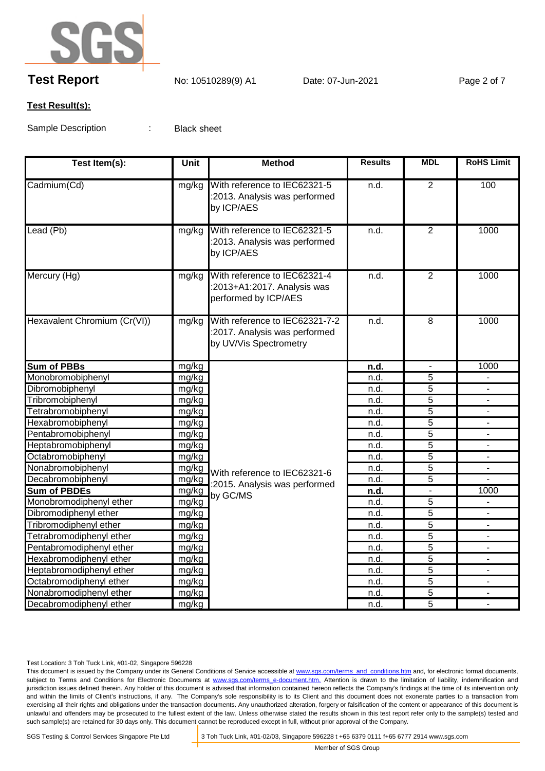

# **Test Report** No: 10510289(9) A1 Date: 07-Jun-2021 Page 2 of 7

#### **Test Result(s):**

Sample Description : Black sheet

| Test Item(s):                | <b>Unit</b> | <b>Method</b>                                                                             | <b>Results</b>    | <b>MDL</b>     | <b>RoHS Limit</b> |
|------------------------------|-------------|-------------------------------------------------------------------------------------------|-------------------|----------------|-------------------|
| Cadmium(Cd)                  | mg/kg       | With reference to IEC62321-5<br>:2013. Analysis was performed<br>by ICP/AES               | n.d.              | $\overline{2}$ | 100               |
| Lead (Pb)                    | mg/kg       | With reference to IEC62321-5<br>:2013. Analysis was performed<br>by ICP/AES               | n.d.              | $\overline{2}$ | 1000              |
| Mercury (Hg)                 | mg/kg       | With reference to IEC62321-4<br>:2013+A1:2017. Analysis was<br>performed by ICP/AES       | $\overline{n.d.}$ | $\overline{2}$ | 1000              |
| Hexavalent Chromium (Cr(VI)) | mg/kg       | With reference to IEC62321-7-2<br>:2017. Analysis was performed<br>by UV/Vis Spectrometry | n.d.              | $\overline{8}$ | 1000              |
| <b>Sum of PBBs</b>           | mg/kg       |                                                                                           | n.d.              |                | 1000              |
| Monobromobiphenyl            | mg/kg       |                                                                                           | n.d.              | $\overline{5}$ |                   |
| Dibromobiphenyl              | mg/kg       |                                                                                           | n.d.              | $\overline{5}$ | $\blacksquare$    |
| Tribromobiphenyl             | mg/kg       |                                                                                           | n.d.              | 5              |                   |
| Tetrabromobiphenyl           | mg/kg       |                                                                                           | n.d.              | $\overline{5}$ |                   |
| Hexabromobiphenyl            | mg/kg       |                                                                                           | n.d.              | $\overline{5}$ |                   |
| Pentabromobiphenyl           | mg/kg       |                                                                                           | n.d.              | $\overline{5}$ |                   |
| Heptabromobiphenyl           | mg/kg       |                                                                                           | n.d.              | $\overline{5}$ |                   |
| Octabromobiphenyl            | mg/kg       |                                                                                           | n.d.              | $\overline{5}$ |                   |
| Nonabromobiphenyl            | mg/kg       | With reference to IEC62321-6                                                              | n.d.              | $\overline{5}$ | $\blacksquare$    |
| Decabromobiphenyl            | mg/kg       | :2015. Analysis was performed<br>by GC/MS                                                 | n.d.              | 5              |                   |
| <b>Sum of PBDEs</b>          | mg/kg       |                                                                                           | n.d.              |                | 1000              |
| Monobromodiphenyl ether      | mg/kg       |                                                                                           | n.d.              | 5              |                   |
| Dibromodiphenyl ether        | mg/kg       |                                                                                           | n.d.              | $\overline{5}$ |                   |
| Tribromodiphenyl ether       | mg/kg       |                                                                                           | n.d.              | $\overline{5}$ |                   |
| Tetrabromodiphenyl ether     | mg/kg       |                                                                                           | n.d.              | $\overline{5}$ |                   |
| Pentabromodiphenyl ether     | mg/kg       |                                                                                           | n.d.              | $\overline{5}$ |                   |
| Hexabromodiphenyl ether      | mg/kg       |                                                                                           | n.d.              | $\overline{5}$ | $\blacksquare$    |
| Heptabromodiphenyl ether     | mg/kg       |                                                                                           | n.d.              | $\overline{5}$ |                   |
| Octabromodiphenyl ether      | mg/kg       |                                                                                           | n.d.              | $\overline{5}$ |                   |
| Nonabromodiphenyl ether      | mg/kg       |                                                                                           | n.d.              | $\overline{5}$ |                   |
| Decabromodiphenyl ether      | mg/kg       |                                                                                           | n.d.              | $\overline{5}$ |                   |

Test Location: 3 Toh Tuck Link, #01-02, Singapore 596228

This document is issued by the Company under its General Conditions of Service accessible at www.sgs.com/terms\_and\_conditions.htm and, for electronic format documents, subject to Terms and Conditions for Electronic Documents at www.sgs.com/terms\_e-document.htm. Attention is drawn to the limitation of liability, indemnification and jurisdiction issues defined therein. Any holder of this document is advised that information contained hereon reflects the Company's findings at the time of its intervention only and within the limits of Client's instructions, if any. The Company's sole responsibility is to its Client and this document does not exonerate parties to a transaction from exercising all their rights and obligations under the transaction documents. Any unauthorized alteration, forgery or falsification of the content or appearance of this document is unlawful and offenders may be prosecuted to the fullest extent of the law. Unless otherwise stated the results shown in this test report refer only to the sample(s) tested and such sample(s) are retained for 30 days only. This document cannot be reproduced except in full, without prior approval of the Company.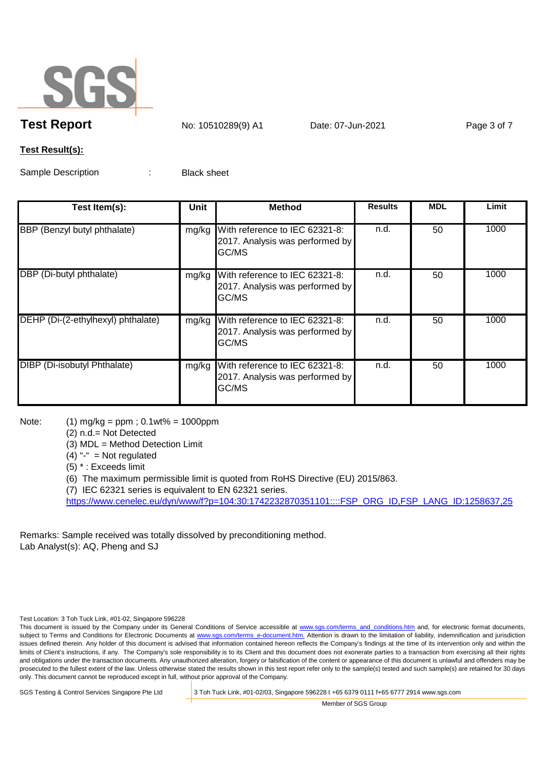

**Test Report** No: 10510289(9) A1 Date: 07-Jun-2021 Page 3 of 7

#### **Test Result(s):**

Sample Description : Black sheet

| Test Item(s):                       | Unit  | <b>Method</b>                                                                     | <b>Results</b> | <b>MDL</b> | Limit |
|-------------------------------------|-------|-----------------------------------------------------------------------------------|----------------|------------|-------|
| BBP (Benzyl butyl phthalate)        | mg/kg | With reference to IEC 62321-8:<br>2017. Analysis was performed by<br><b>GC/MS</b> | n.d.           | 50         | 1000  |
| DBP (Di-butyl phthalate)            | mg/kg | With reference to IEC 62321-8:<br>2017. Analysis was performed by<br>GC/MS        | n.d.           | 50         | 1000  |
| DEHP (Di-(2-ethylhexyl) phthalate)  |       | mg/kg With reference to IEC 62321-8:<br>2017. Analysis was performed by<br>GC/MS  | n.d.           | 50         | 1000  |
| <b>DIBP</b> (Di-isobutyl Phthalate) | mg/kg | With reference to IEC 62321-8:<br>2017. Analysis was performed by<br><b>GC/MS</b> | n.d.           | 50         | 1000  |

Note: (1) mg/kg = ppm ; 0.1wt% = 1000ppm

(2) n.d.= Not Detected

(3) MDL = Method Detection Limit

 $(4)$  "-" = Not regulated

(5) \* : Exceeds limit

(6) The maximum permissible limit is quoted from RoHS Directive (EU) 2015/863.

(7) IEC 62321 series is equivalent to EN 62321 series.

https://www.cenelec.eu/dyn/www/f?p=104:30:1742232870351101::::FSP\_ORG\_ID,FSP\_LANG\_ID:1258637,25

Remarks: Sample received was totally dissolved by preconditioning method. Lab Analyst(s): AQ, Pheng and SJ

Test Location: 3 Toh Tuck Link, #01-02, Singapore 596228

This document is issued by the Company under its General Conditions of Service accessible at www.sgs.com/terms\_and\_conditions.htm and, for electronic format documents, subject to Terms and Conditions for Electronic Documents at www.sgs.com/terms e-document.htm. Attention is drawn to the limitation of liability, indemnification and jurisdiction issues defined therein. Any holder of this document is advised that information contained hereon reflects the Company's findings at the time of its intervention only and within the limits of Client's instructions, if any. The Company's sole responsibility is to its Client and this document does not exonerate parties to a transaction from exercising all their rights and obligations under the transaction documents. Any unauthorized alteration, forgery or falsification of the content or appearance of this document is unlawful and offenders may be prosecuted to the fullest extent of the law. Unless otherwise stated the results shown in this test report refer only to the sample(s) tested and such sample(s) are retained for 30 days only. This document cannot be reproduced except in full, without prior approval of the Company.

SGS Testing & Control Services Singapore Pte Ltd 3 Toh Tuck Link, #01-02/03, Singapore 596228 t +65 6379 0111 f+65 6777 2914 www.sgs.com

Member of SGS Group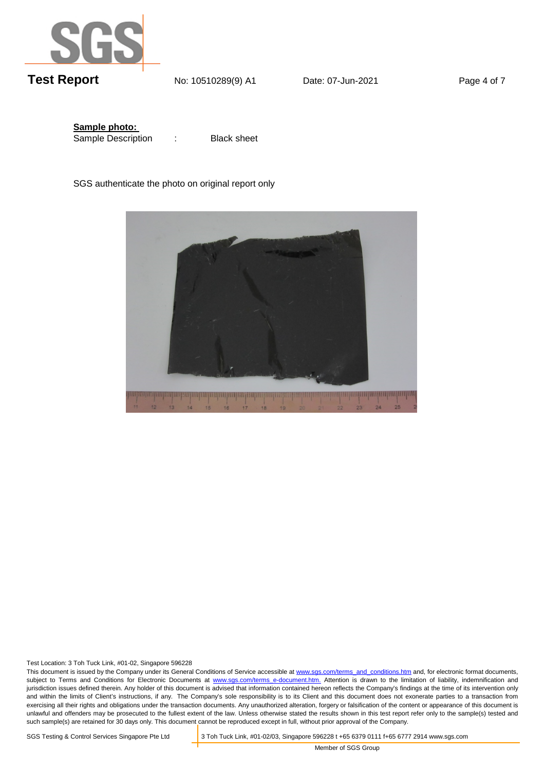

**Sample photo:**  Sample Description :

Black sheet

SGS authenticate the photo on original report only



Test Location: 3 Toh Tuck Link, #01-02, Singapore 596228

This document is issued by the Company under its General Conditions of Service accessible at www.sgs.com/terms\_and\_conditions.htm and, for electronic format documents, subject to Terms and Conditions for Electronic Documents at www.sgs.com/terms\_e-document.htm. Attention is drawn to the limitation of liability, indemnification and jurisdiction issues defined therein. Any holder of this document is advised that information contained hereon reflects the Company's findings at the time of its intervention only and within the limits of Client's instructions, if any. The Company's sole responsibility is to its Client and this document does not exonerate parties to a transaction from exercising all their rights and obligations under the transaction documents. Any unauthorized alteration, forgery or falsification of the content or appearance of this document is unlawful and offenders may be prosecuted to the fullest extent of the law. Unless otherwise stated the results shown in this test report refer only to the sample(s) tested and such sample(s) are retained for 30 days only. This document cannot be reproduced except in full, without prior approval of the Company.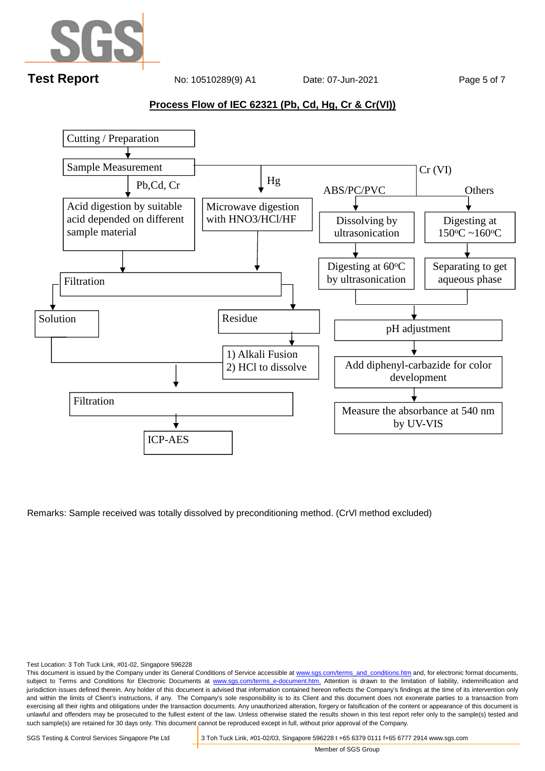

#### **Process Flow of IEC 62321 (Pb, Cd, Hg, Cr & Cr(VI))**



Remarks: Sample received was totally dissolved by preconditioning method. (CrVl method excluded)

Test Location: 3 Toh Tuck Link, #01-02, Singapore 596228

This document is issued by the Company under its General Conditions of Service accessible at www.sgs.com/terms\_and\_conditions.htm and, for electronic format documents, subject to Terms and Conditions for Electronic Documents at www.sgs.com/terms e-document.htm. Attention is drawn to the limitation of liability, indemnification and jurisdiction issues defined therein. Any holder of this document is advised that information contained hereon reflects the Company's findings at the time of its intervention only and within the limits of Client's instructions, if any. The Company's sole responsibility is to its Client and this document does not exonerate parties to a transaction from exercising all their rights and obligations under the transaction documents. Any unauthorized alteration, forgery or falsification of the content or appearance of this document is unlawful and offenders may be prosecuted to the fullest extent of the law. Unless otherwise stated the results shown in this test report refer only to the sample(s) tested and such sample(s) are retained for 30 days only. This document cannot be reproduced except in full, without prior approval of the Company.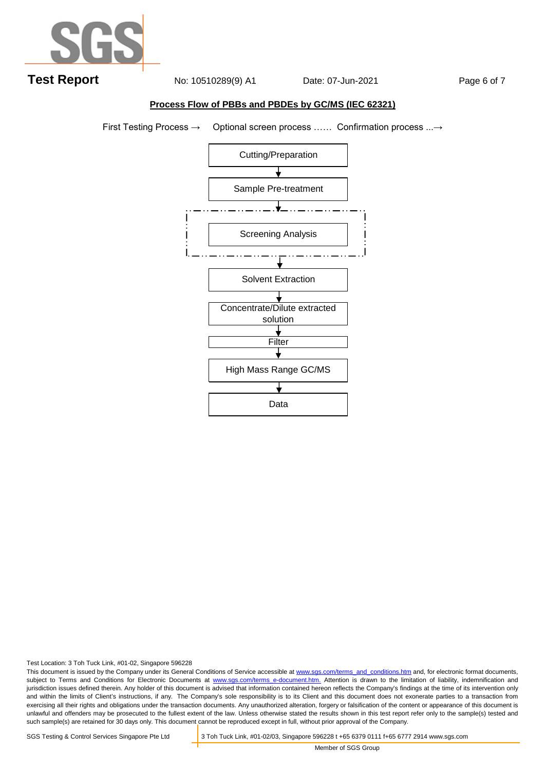

#### **Process Flow of PBBs and PBDEs by GC/MS (IEC 62321)**

First Testing Process → Optional screen process …… Confirmation process ...→



Test Location: 3 Toh Tuck Link, #01-02, Singapore 596228

This document is issued by the Company under its General Conditions of Service accessible at www.sgs.com/terms\_and\_conditions.htm and, for electronic format documents, subject to Terms and Conditions for Electronic Documents at www.sgs.com/terms\_e-document.htm. Attention is drawn to the limitation of liability, indemnification and jurisdiction issues defined therein. Any holder of this document is advised that information contained hereon reflects the Company's findings at the time of its intervention only and within the limits of Client's instructions, if any. The Company's sole responsibility is to its Client and this document does not exonerate parties to a transaction from exercising all their rights and obligations under the transaction documents. Any unauthorized alteration, forgery or falsification of the content or appearance of this document is unlawful and offenders may be prosecuted to the fullest extent of the law. Unless otherwise stated the results shown in this test report refer only to the sample(s) tested and such sample(s) are retained for 30 days only. This document cannot be reproduced except in full, without prior approval of the Company.